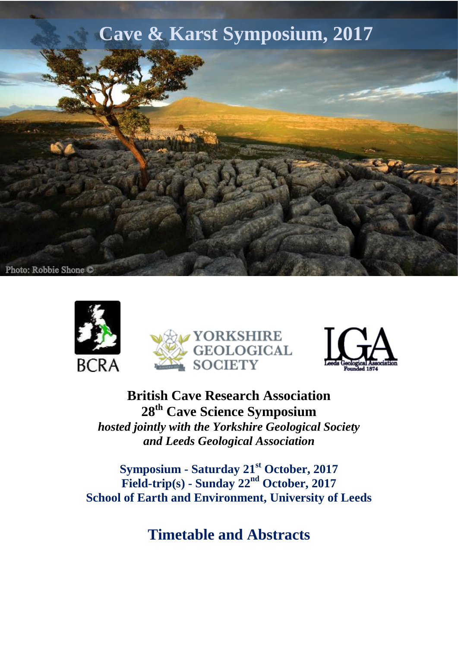







**British Cave Research Association 28th Cave Science Symposium** *hosted jointly with the Yorkshire Geological Society and Leeds Geological Association*

**Symposium - Saturday 21st October, 2017 Field-trip(s) - Sunday 22nd October, 2017 School of Earth and Environment, University of Leeds**

**Timetable and Abstracts**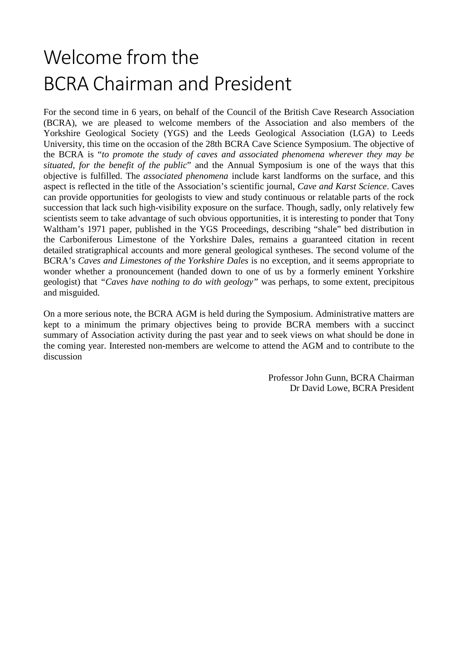# Welcome from the BCRA Chairman and President

For the second time in 6 years, on behalf of the Council of the British Cave Research Association (BCRA), we are pleased to welcome members of the Association and also members of the Yorkshire Geological Society (YGS) and the Leeds Geological Association (LGA) to Leeds University, this time on the occasion of the 28th BCRA Cave Science Symposium. The objective of the BCRA is "*to promote the study of caves and associated phenomena wherever they may be situated, for the benefit of the public*" and the Annual Symposium is one of the ways that this objective is fulfilled. The *associated phenomena* include karst landforms on the surface, and this aspect is reflected in the title of the Association's scientific journal, *Cave and Karst Science*. Caves can provide opportunities for geologists to view and study continuous or relatable parts of the rock succession that lack such high-visibility exposure on the surface. Though, sadly, only relatively few scientists seem to take advantage of such obvious opportunities, it is interesting to ponder that Tony Waltham's 1971 paper, published in the YGS Proceedings, describing "shale" bed distribution in the Carboniferous Limestone of the Yorkshire Dales, remains a guaranteed citation in recent detailed stratigraphical accounts and more general geological syntheses. The second volume of the BCRA's *Caves and Limestones of the Yorkshire Dales* is no exception, and it seems appropriate to wonder whether a pronouncement (handed down to one of us by a formerly eminent Yorkshire geologist) that *"Caves have nothing to do with geology"* was perhaps, to some extent, precipitous and misguided.

On a more serious note, the BCRA AGM is held during the Symposium. Administrative matters are kept to a minimum the primary objectives being to provide BCRA members with a succinct summary of Association activity during the past year and to seek views on what should be done in the coming year. Interested non-members are welcome to attend the AGM and to contribute to the discussion

> Professor John Gunn, BCRA Chairman Dr David Lowe, BCRA President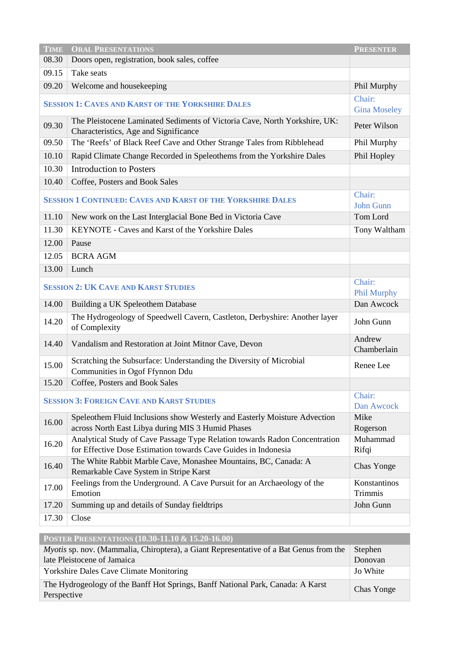| <b>TIME</b>                                                        | <b>ORAL PRESENTATIONS</b>                                                                                                                    | <b>PRESENTER</b>              |  |
|--------------------------------------------------------------------|----------------------------------------------------------------------------------------------------------------------------------------------|-------------------------------|--|
| 08.30                                                              | Doors open, registration, book sales, coffee                                                                                                 |                               |  |
| 09.15                                                              | Take seats                                                                                                                                   |                               |  |
| 09.20                                                              | Welcome and housekeeping                                                                                                                     | Phil Murphy                   |  |
| <b>SESSION 1: CAVES AND KARST OF THE YORKSHIRE DALES</b>           |                                                                                                                                              | Chair:<br><b>Gina Moseley</b> |  |
| 09.30                                                              | The Pleistocene Laminated Sediments of Victoria Cave, North Yorkshire, UK:<br>Characteristics, Age and Significance                          | Peter Wilson                  |  |
| 09.50                                                              | The 'Reefs' of Black Reef Cave and Other Strange Tales from Ribblehead                                                                       | Phil Murphy                   |  |
| 10.10                                                              | Rapid Climate Change Recorded in Speleothems from the Yorkshire Dales                                                                        | Phil Hopley                   |  |
| 10.30                                                              | <b>Introduction to Posters</b>                                                                                                               |                               |  |
| 10.40                                                              | Coffee, Posters and Book Sales                                                                                                               |                               |  |
| <b>SESSION 1 CONTINUED: CAVES AND KARST OF THE YORKSHIRE DALES</b> |                                                                                                                                              | Chair:<br><b>John Gunn</b>    |  |
| 11.10                                                              | New work on the Last Interglacial Bone Bed in Victoria Cave                                                                                  | Tom Lord                      |  |
| 11.30                                                              | KEYNOTE - Caves and Karst of the Yorkshire Dales                                                                                             | Tony Waltham                  |  |
| 12.00                                                              | Pause                                                                                                                                        |                               |  |
| 12.05                                                              | <b>BCRA AGM</b>                                                                                                                              |                               |  |
| 13.00                                                              | Lunch                                                                                                                                        |                               |  |
| <b>SESSION 2: UK CAVE AND KARST STUDIES</b>                        |                                                                                                                                              | Chair:<br>Phil Murphy         |  |
| 14.00                                                              | Building a UK Speleothem Database                                                                                                            | Dan Awcock                    |  |
| 14.20                                                              | The Hydrogeology of Speedwell Cavern, Castleton, Derbyshire: Another layer<br>of Complexity                                                  | John Gunn                     |  |
| 14.40                                                              | Vandalism and Restoration at Joint Mitnor Cave, Devon                                                                                        | Andrew<br>Chamberlain         |  |
| 15.00                                                              | Scratching the Subsurface: Understanding the Diversity of Microbial<br>Communities in Ogof Ffynnon Ddu                                       | Renee Lee                     |  |
| 15.20                                                              | Coffee, Posters and Book Sales                                                                                                               |                               |  |
| <b>SESSION 3: FOREIGN CAVE AND KARST STUDIES</b>                   |                                                                                                                                              | Chair:<br>Dan Awcock          |  |
| 16.00                                                              | Speleothem Fluid Inclusions show Westerly and Easterly Moisture Advection<br>across North East Libya during MIS 3 Humid Phases               | Mike<br>Rogerson              |  |
| 16.20                                                              | Analytical Study of Cave Passage Type Relation towards Radon Concentration<br>for Effective Dose Estimation towards Cave Guides in Indonesia | Muhammad<br>Rifqi             |  |
| 16.40                                                              | The White Rabbit Marble Cave, Monashee Mountains, BC, Canada: A<br>Remarkable Cave System in Stripe Karst                                    | Chas Yonge                    |  |
| 17.00                                                              | Feelings from the Underground. A Cave Pursuit for an Archaeology of the<br>Emotion                                                           | Konstantinos<br>Trimmis       |  |
| 17.20                                                              | Summing up and details of Sunday fieldtrips                                                                                                  | John Gunn                     |  |
| 17.30                                                              | Close                                                                                                                                        |                               |  |
| <b>DOCTED DESENTATIONS (10.20.11.10.8, 15.20.16.00)</b>            |                                                                                                                                              |                               |  |

| <b>POSTER PRESENTATIONS (10.30-11.10 <math>\alpha</math> 15.20-10.00)</b>                      |            |
|------------------------------------------------------------------------------------------------|------------|
| <i>Myotis</i> sp. nov. (Mammalia, Chiroptera), a Giant Representative of a Bat Genus from the  | Stephen    |
| late Pleistocene of Jamaica                                                                    | Donovan    |
| <b>Yorkshire Dales Cave Climate Monitoring</b>                                                 | Jo White   |
| The Hydrogeology of the Banff Hot Springs, Banff National Park, Canada: A Karst<br>Perspective | Chas Yonge |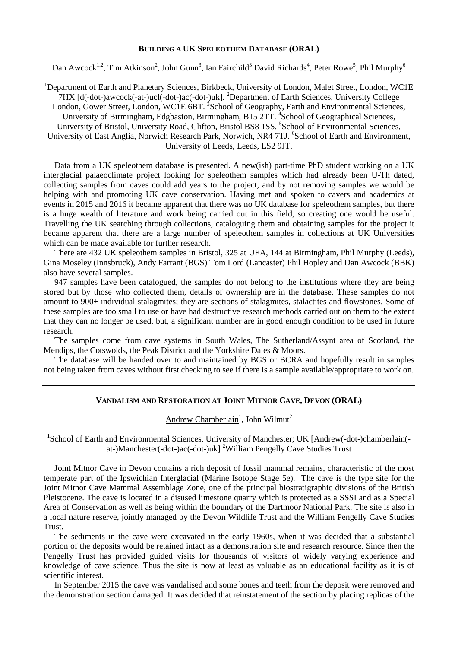#### **BUILDING A UK SPELEOTHEM DATABASE (ORAL)**

Dan Awcock<sup>1,2</sup>, Tim Atkinson<sup>2</sup>, John Gunn<sup>3</sup>, Ian Fairchild<sup>3</sup> David Richards<sup>4</sup>, Peter Rowe<sup>5</sup>, Phil Murphy<sup>6</sup>

<sup>1</sup>Department of Earth and Planetary Sciences, Birkbeck, University of London, Malet Street, London, WC1E 7HX [d(-dot-)awcock(-at-)ucl(-dot-)ac(-dot-)uk]. <sup>2</sup>Department of Earth Sciences, University College London, Gower Street, London, WC1E 6BT. <sup>3</sup>School of Geography, Earth and Environmental Sciences, University of Birmingham, Edgbaston, Birmingham, B15 2TT. <sup>4</sup>School of Geographical Sciences, University of Bristol, University Road, Clifton, Bristol BS8 1SS. <sup>5</sup>School of Environmental Sciences, University of East Anglia, Norwich Research Park, Norwich, NR4 7TJ. <sup>6</sup>School of Earth and Environment, University of Leeds, Leeds, LS2 9JT.

Data from a UK speleothem database is presented. A new(ish) part-time PhD student working on a UK interglacial palaeoclimate project looking for speleothem samples which had already been U-Th dated, collecting samples from caves could add years to the project, and by not removing samples we would be helping with and promoting UK cave conservation. Having met and spoken to cavers and academics at events in 2015 and 2016 it became apparent that there was no UK database for speleothem samples, but there is a huge wealth of literature and work being carried out in this field, so creating one would be useful. Travelling the UK searching through collections, cataloguing them and obtaining samples for the project it became apparent that there are a large number of speleothem samples in collections at UK Universities which can be made available for further research.

There are 432 UK speleothem samples in Bristol, 325 at UEA, 144 at Birmingham, Phil Murphy (Leeds), Gina Moseley (Innsbruck), Andy Farrant (BGS) Tom Lord (Lancaster) Phil Hopley and Dan Awcock (BBK) also have several samples.

947 samples have been catalogued, the samples do not belong to the institutions where they are being stored but by those who collected them, details of ownership are in the database. These samples do not amount to 900+ individual stalagmites; they are sections of stalagmites, stalactites and flowstones. Some of these samples are too small to use or have had destructive research methods carried out on them to the extent that they can no longer be used, but, a significant number are in good enough condition to be used in future research.

The samples come from cave systems in South Wales, The Sutherland/Assynt area of Scotland, the Mendips, the Cotswolds, the Peak District and the Yorkshire Dales & Moors.

The database will be handed over to and maintained by BGS or BCRA and hopefully result in samples not being taken from caves without first checking to see if there is a sample available/appropriate to work on.

#### **VANDALISM AND RESTORATION AT JOINT MITNOR CAVE, DEVON (ORAL)**

Andrew Chamberlain<sup>1</sup>, John Wilmut<sup>2</sup>

<sup>1</sup>School of Earth and Environmental Sciences, University of Manchester; UK [Andrew(-dot-)chamberlain(at-)Manchester(-dot-)ac(-dot-)uk] <sup>2</sup>William Pengelly Cave Studies Trust

Joint Mitnor Cave in Devon contains a rich deposit of fossil mammal remains, characteristic of the most temperate part of the Ipswichian Interglacial (Marine Isotope Stage 5e). The cave is the type site for the Joint Mitnor Cave Mammal Assemblage Zone, one of the principal biostratigraphic divisions of the British Pleistocene. The cave is located in a disused limestone quarry which is protected as a SSSI and as a Special Area of Conservation as well as being within the boundary of the Dartmoor National Park. The site is also in a local nature reserve, jointly managed by the Devon Wildlife Trust and the William Pengelly Cave Studies Trust.

The sediments in the cave were excavated in the early 1960s, when it was decided that a substantial portion of the deposits would be retained intact as a demonstration site and research resource. Since then the Pengelly Trust has provided guided visits for thousands of visitors of widely varying experience and knowledge of cave science. Thus the site is now at least as valuable as an educational facility as it is of scientific interest.

In September 2015 the cave was vandalised and some bones and teeth from the deposit were removed and the demonstration section damaged. It was decided that reinstatement of the section by placing replicas of the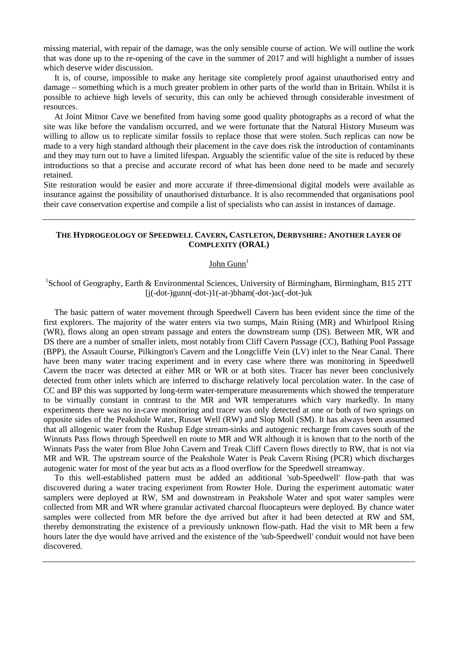missing material, with repair of the damage, was the only sensible course of action. We will outline the work that was done up to the re-opening of the cave in the summer of 2017 and will highlight a number of issues which deserve wider discussion.

It is, of course, impossible to make any heritage site completely proof against unauthorised entry and damage – something which is a much greater problem in other parts of the world than in Britain. Whilst it is possible to achieve high levels of security, this can only be achieved through considerable investment of resources.

At Joint Mitnor Cave we benefited from having some good quality photographs as a record of what the site was like before the vandalism occurred, and we were fortunate that the Natural History Museum was willing to allow us to replicate similar fossils to replace those that were stolen. Such replicas can now be made to a very high standard although their placement in the cave does risk the introduction of contaminants and they may turn out to have a limited lifespan. Arguably the scientific value of the site is reduced by these introductions so that a precise and accurate record of what has been done need to be made and securely retained.

Site restoration would be easier and more accurate if three-dimensional digital models were available as insurance against the possibility of unauthorised disturbance. It is also recommended that organisations pool their cave conservation expertise and compile a list of specialists who can assist in instances of damage.

#### **THE HYDROGEOLOGY OF SPEEDWELL CAVERN, CASTLETON, DERBYSHIRE: ANOTHER LAYER OF COMPLEXITY (ORAL)**

# John  $Gunn<sup>1</sup>$

## <sup>1</sup>School of Geography, Earth & Environmental Sciences, University of Birmingham, Birmingham, B15 2TT  $[i(-dot-)gunn(-dot-)1(-at-)bham(-dot-)ac(-dot-)uk]$

The basic pattern of water movement through Speedwell Cavern has been evident since the time of the first explorers. The majority of the water enters via two sumps, Main Rising (MR) and Whirlpool Rising (WR), flows along an open stream passage and enters the downstream sump (DS). Between MR, WR and DS there are a number of smaller inlets, most notably from Cliff Cavern Passage (CC), Bathing Pool Passage (BPP), the Assault Course, Pilkington's Cavern and the Longcliffe Vein (LV) inlet to the Near Canal. There have been many water tracing experiment and in every case where there was monitoring in Speedwell Cavern the tracer was detected at either MR or WR or at both sites. Tracer has never been conclusively detected from other inlets which are inferred to discharge relatively local percolation water. In the case of CC and BP this was supported by long-term water-temperature measurements which showed the temperature to be virtually constant in contrast to the MR and WR temperatures which vary markedly. In many experiments there was no in-cave monitoring and tracer was only detected at one or both of two springs on opposite sides of the Peakshole Water, Russet Well (RW) and Slop Moll (SM). It has always been assumed that all allogenic water from the Rushup Edge stream-sinks and autogenic recharge from caves south of the Winnats Pass flows through Speedwell en route to MR and WR although it is known that to the north of the Winnats Pass the water from Blue John Cavern and Treak Cliff Cavern flows directly to RW, that is not via MR and WR. The upstream source of the Peakshole Water is Peak Cavern Rising (PCR) which discharges autogenic water for most of the year but acts as a flood overflow for the Speedwell streamway.

To this well-established pattern must be added an additional 'sub-Speedwell' flow-path that was discovered during a water tracing experiment from Rowter Hole. During the experiment automatic water samplers were deployed at RW, SM and downstream in Peakshole Water and spot water samples were collected from MR and WR where granular activated charcoal fluocapteurs were deployed. By chance water samples were collected from MR before the dye arrived but after it had been detected at RW and SM, thereby demonstrating the existence of a previously unknown flow-path. Had the visit to MR been a few hours later the dye would have arrived and the existence of the 'sub-Speedwell' conduit would not have been discovered.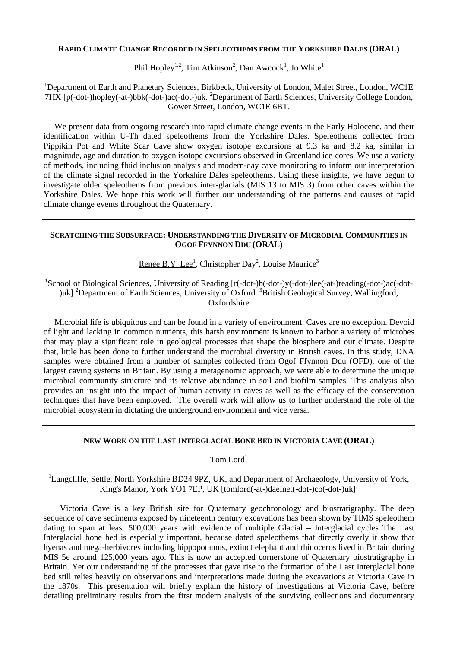#### **RAPID CLIMATE CHANGE RECORDED IN SPELEOTHEMS FROM THE YORKSHIRE DALES (ORAL)**

Phil Hopley<sup>1,2</sup>, Tim Atkinson<sup>2</sup>, Dan Awcock<sup>1</sup>, Jo White<sup>1</sup>

<sup>1</sup>Department of Earth and Planetary Sciences, Birkbeck, University of London, Malet Street, London, WC1E 7HX [p(-dot-)hopley(-at-)bbk(-dot-)ac(-dot-)uk. <sup>2</sup> Department of Earth Sciences, University College London, Gower Street, London, WC1E 6BT.

We present data from ongoing research into rapid climate change events in the Early Holocene, and their identification within U-Th dated speleothems from the Yorkshire Dales. Speleothems collected from Pippikin Pot and White Scar Cave show oxygen isotope excursions at 9.3 ka and 8.2 ka, similar in magnitude, age and duration to oxygen isotope excursions observed in Greenland ice-cores. We use a variety of methods, including fluid inclusion analysis and modern-day cave monitoring to inform our interpretation of the climate signal recorded in the Yorkshire Dales speleothems. Using these insights, we have begun to investigate older speleothems from previous inter-glacials (MIS 13 to MIS 3) from other caves within the Yorkshire Dales. We hope this work will further our understanding of the patterns and causes of rapid climate change events throughout the Quaternary.

#### **SCRATCHING THE SUBSURFACE: UNDERSTANDING THE DIVERSITY OF MICROBIAL COMMUNITIES IN OGOF FFYNNON DDU (ORAL)**

Renee B.Y. Lee<sup>1</sup>, Christopher Day<sup>2</sup>, Louise Maurice<sup>3</sup>

<sup>1</sup>School of Biological Sciences, University of Reading [r(-dot-)b(-dot-)y(-dot-)lee(-at-)reading(-dot-)ac(-dot-)uk] <sup>2</sup>Department of Earth Sciences, University of Oxford. <sup>3</sup>British Geological Survey, Wallingford, **Oxfordshire** 

Microbial life is ubiquitous and can be found in a variety of environment. Caves are no exception. Devoid of light and lacking in common nutrients, this harsh environment is known to harbor a variety of microbes that may play a significant role in geological processes that shape the biosphere and our climate. Despite that, little has been done to further understand the microbial diversity in British caves. In this study, DNA samples were obtained from a number of samples collected from Ogof Ffynnon Ddu (OFD), one of the largest caving systems in Britain. By using a metagenomic approach, we were able to determine the unique microbial community structure and its relative abundance in soil and biofilm samples. This analysis also provides an insight into the impact of human activity in caves as well as the efficacy of the conservation techniques that have been employed. The overall work will allow us to further understand the role of the microbial ecosystem in dictating the underground environment and vice versa.

#### **NEW WORK ON THE LAST INTERGLACIAL BONE BED IN VICTORIA CAVE (ORAL)**

Tom Lord<sup>1</sup>

<sup>1</sup>Langcliffe, Settle, North Yorkshire BD24 9PZ, UK, and Department of Archaeology, University of York, King's Manor, York YO1 7EP, UK [tomlord(-at-)daelnet(-dot-)co(-dot-)uk]

Victoria Cave is a key British site for Quaternary geochronology and biostratigraphy. The deep sequence of cave sediments exposed by nineteenth century excavations has been shown by TIMS speleothem dating to span at least 500,000 years with evidence of multiple Glacial – Interglacial cycles The Last Interglacial bone bed is especially important, because dated speleothems that directly overly it show that hyenas and mega-herbivores including hippopotamus, extinct elephant and rhinoceros lived in Britain during MIS 5e around 125,000 years ago. This is now an accepted cornerstone of Quaternary biostratigraphy in Britain. Yet our understanding of the processes that gave rise to the formation of the Last Interglacial bone bed still relies heavily on observations and interpretations made during the excavations at Victoria Cave in the 1870s. This presentation will briefly explain the history of investigations at Victoria Cave, before detailing preliminary results from the first modern analysis of the surviving collections and documentary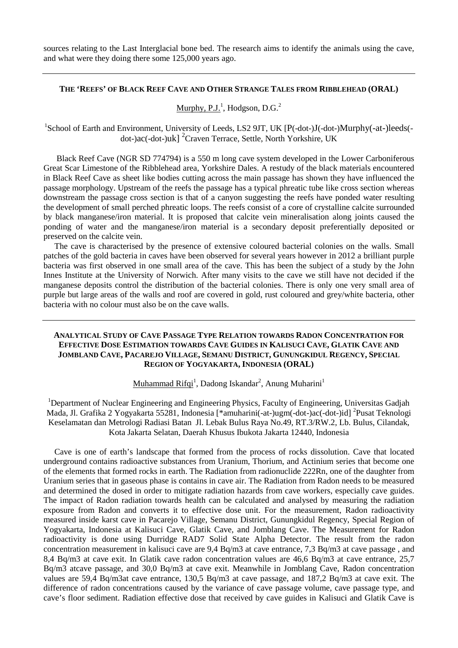sources relating to the Last Interglacial bone bed. The research aims to identify the animals using the cave, and what were they doing there some 125,000 years ago.

#### **THE 'REEFS' OF BLACK REEF CAVE AND OTHER STRANGE TALES FROM RIBBLEHEAD (ORAL)**

## Murphy, P.J.<sup>1</sup>, Hodgson, D.G.<sup>2</sup>

<sup>1</sup>School of Earth and Environment, University of Leeds, LS2 9JT, UK [P(-dot-)J(-dot-)Murphy(-at-)leeds(dot-)ac(-dot-)uk] <sup>2</sup> Craven Terrace, Settle, North Yorkshire, UK

Black Reef Cave (NGR SD 774794) is a 550 m long cave system developed in the Lower Carboniferous Great Scar Limestone of the Ribblehead area, Yorkshire Dales. A restudy of the black materials encountered in Black Reef Cave as sheet like bodies cutting across the main passage has shown they have influenced the passage morphology. Upstream of the reefs the passage has a typical phreatic tube like cross section whereas downstream the passage cross section is that of a canyon suggesting the reefs have ponded water resulting the development of small perched phreatic loops. The reefs consist of a core of crystalline calcite surrounded by black manganese/iron material. It is proposed that calcite vein mineralisation along joints caused the ponding of water and the manganese/iron material is a secondary deposit preferentially deposited or preserved on the calcite vein.

The cave is characterised by the presence of extensive coloured bacterial colonies on the walls. Small patches of the gold bacteria in caves have been observed for several years however in 2012 a brilliant purple bacteria was first observed in one small area of the cave. This has been the subject of a study by the John Innes Institute at the University of Norwich. After many visits to the cave we still have not decided if the manganese deposits control the distribution of the bacterial colonies. There is only one very small area of purple but large areas of the walls and roof are covered in gold, rust coloured and grey/white bacteria, other bacteria with no colour must also be on the cave walls.

#### **ANALYTICAL STUDY OF CAVE PASSAGE TYPE RELATION TOWARDS RADON CONCENTRATION FOR EFFECTIVE DOSE ESTIMATION TOWARDS CAVE GUIDES IN KALISUCI CAVE, GLATIK CAVE AND JOMBLAND CAVE, PACAREJO VILLAGE, SEMANU DISTRICT, GUNUNGKIDUL REGENCY, SPECIAL REGION OF YOGYAKARTA, INDONESIA (ORAL)**

Muhammad Rifqi<sup>1</sup>, Dadong Iskandar<sup>2</sup>, Anung Muharini<sup>1</sup>

<sup>1</sup>Department of Nuclear Engineering and Engineering Physics, Faculty of Engineering, Universitas Gadjah Mada, Jl. Grafika 2 Yogyakarta 55281, Indonesia [\*amuharini(-at-)ugm(-dot-)ac(-dot-)id]<sup>2</sup>Pusat Teknologi Keselamatan dan Metrologi Radiasi Batan Jl. Lebak Bulus Raya No.49, RT.3/RW.2, Lb. Bulus, Cilandak, Kota Jakarta Selatan, Daerah Khusus Ibukota Jakarta 12440, Indonesia

Cave is one of earth's landscape that formed from the process of rocks dissolution. Cave that located underground contains radioactive substances from Uranium, Thorium, and Actinium series that become one of the elements that formed rocks in earth. The Radiation from radionuclide 222Rn, one of the daughter from Uranium series that in gaseous phase is contains in cave air. The Radiation from Radon needs to be measured and determined the dosed in order to mitigate radiation hazards from cave workers, especially cave guides. The impact of Radon radiation towards health can be calculated and analysed by measuring the radiation exposure from Radon and converts it to effective dose unit. For the measurement, Radon radioactivity measured inside karst cave in Pacarejo Village, Semanu District, Gunungkidul Regency, Special Region of Yogyakarta, Indonesia at Kalisuci Cave, Glatik Cave, and Jomblang Cave. The Measurement for Radon radioactivity is done using Durridge RAD7 Solid State Alpha Detector. The result from the radon concentration measurement in kalisuci cave are 9,4 Bq/m3 at cave entrance, 7,3 Bq/m3 at cave passage , and 8,4 Bq/m3 at cave exit. In Glatik cave radon concentration values are 46,6 Bq/m3 at cave entrance, 25,7 Bq/m3 atcave passage, and 30,0 Bq/m3 at cave exit. Meanwhile in Jomblang Cave, Radon concentration values are 59,4 Bq/m3at cave entrance, 130,5 Bq/m3 at cave passage, and 187,2 Bq/m3 at cave exit. The difference of radon concentrations caused by the variance of cave passage volume, cave passage type, and cave's floor sediment. Radiation effective dose that received by cave guides in Kalisuci and Glatik Cave is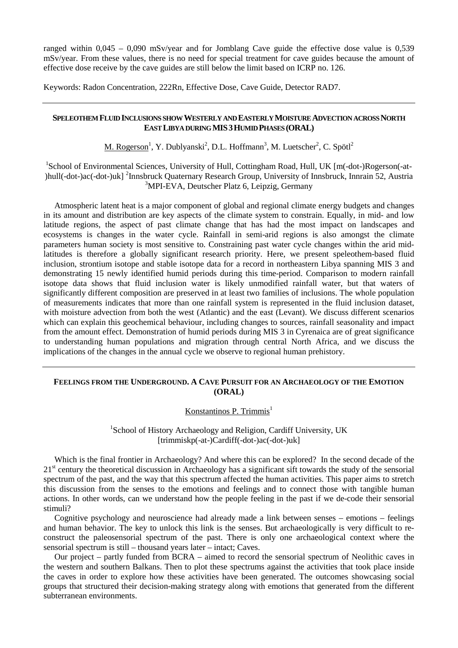ranged within  $0.045 - 0.090$  mSv/year and for Jomblang Cave guide the effective dose value is 0.539 mSv/year. From these values, there is no need for special treatment for cave guides because the amount of effective dose receive by the cave guides are still below the limit based on ICRP no. 126.

Keywords: Radon Concentration, 222Rn, Effective Dose, Cave Guide, Detector RAD7.

#### **SPELEOTHEM FLUID INCLUSIONS SHOW WESTERLY AND EASTERLY MOISTURE ADVECTION ACROSS NORTH EAST LIBYA DURING MIS3HUMID PHASES(ORAL)**

M. Rogerson<sup>1</sup>, Y. Dublyanski<sup>2</sup>, D.L. Hoffmann<sup>3</sup>, M. Luetscher<sup>2</sup>, C. Spötl<sup>2</sup>

<sup>1</sup>School of Environmental Sciences, University of Hull, Cottingham Road, Hull, UK [m(-dot-)Rogerson(-at-)hull(-dot-)ac(-dot-)uk] <sup>2</sup>Innsbruck Quaternary Research Group, University of Innsbruck, Innrain 52, Austria 3 MPI-EVA, Deutscher Platz 6, Leipzig, Germany

Atmospheric latent heat is a major component of global and regional climate energy budgets and changes in its amount and distribution are key aspects of the climate system to constrain. Equally, in mid- and low latitude regions, the aspect of past climate change that has had the most impact on landscapes and ecosystems is changes in the water cycle. Rainfall in semi-arid regions is also amongst the climate parameters human society is most sensitive to. Constraining past water cycle changes within the arid midlatitudes is therefore a globally significant research priority. Here, we present speleothem-based fluid inclusion, strontium isotope and stable isotope data for a record in northeastern Libya spanning MIS 3 and demonstrating 15 newly identified humid periods during this time-period. Comparison to modern rainfall isotope data shows that fluid inclusion water is likely unmodified rainfall water, but that waters of significantly different composition are preserved in at least two families of inclusions. The whole population of measurements indicates that more than one rainfall system is represented in the fluid inclusion dataset, with moisture advection from both the west (Atlantic) and the east (Levant). We discuss different scenarios which can explain this geochemical behaviour, including changes to sources, rainfall seasonality and impact from the amount effect. Demonstration of humid periods during MIS 3 in Cyrenaica are of great significance to understanding human populations and migration through central North Africa, and we discuss the implications of the changes in the annual cycle we observe to regional human prehistory.

#### **FEELINGS FROM THE UNDERGROUND. A CAVE PURSUIT FOR AN ARCHAEOLOGY OF THE EMOTION (ORAL)**

Konstantinos P. Trimmis $<sup>1</sup>$ </sup>

<sup>1</sup>School of History Archaeology and Religion, Cardiff University, UK [trimmiskp(-at-)Cardiff(-dot-)ac(-dot-)uk]

Which is the final frontier in Archaeology? And where this can be explored? In the second decade of the 21<sup>st</sup> century the theoretical discussion in Archaeology has a significant sift towards the study of the sensorial spectrum of the past, and the way that this spectrum affected the human activities. This paper aims to stretch this discussion from the senses to the emotions and feelings and to connect those with tangible human actions. In other words, can we understand how the people feeling in the past if we de-code their sensorial stimuli?

Cognitive psychology and neuroscience had already made a link between senses – emotions – feelings and human behavior. The key to unlock this link is the senses. But archaeologically is very difficult to reconstruct the paleosensorial spectrum of the past. There is only one archaeological context where the sensorial spectrum is still – thousand years later – intact; Caves.

Our project – partly funded from BCRA – aimed to record the sensorial spectrum of Neolithic caves in the western and southern Balkans. Then to plot these spectrums against the activities that took place inside the caves in order to explore how these activities have been generated. The outcomes showcasing social groups that structured their decision-making strategy along with emotions that generated from the different subterranean environments.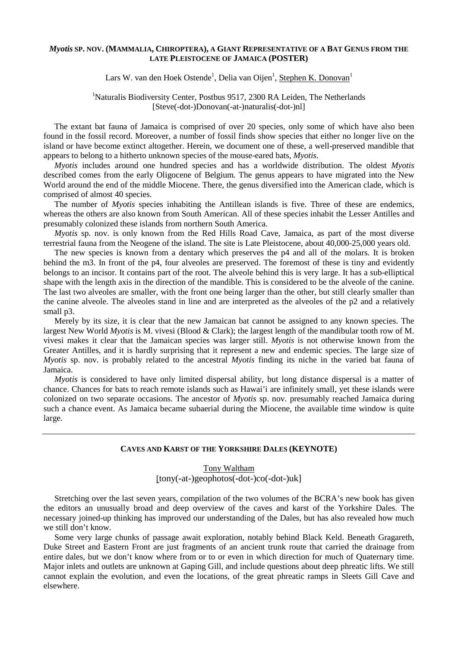#### *Myotis* **SP. NOV. (MAMMALIA, CHIROPTERA), A GIANT REPRESENTATIVE OF A BAT GENUS FROM THE LATE PLEISTOCENE OF JAMAICA (POSTER)**

Lars W. van den Hoek Ostende<sup>1</sup>, Delia van Oijen<sup>1</sup>, <u>Stephen K. Donovan<sup>1</sup></u>

## <sup>1</sup>Naturalis Biodiversity Center, Postbus 9517, 2300 RA Leiden, The Netherlands [Steve(-dot-)Donovan(-at-)naturalis(-dot-)nl]

The extant bat fauna of Jamaica is comprised of over 20 species, only some of which have also been found in the fossil record. Moreover, a number of fossil finds show species that either no longer live on the island or have become extinct altogether. Herein, we document one of these, a well-preserved mandible that appears to belong to a hitherto unknown species of the mouse-eared bats, *Myotis*.

*Myotis* includes around one hundred species and has a worldwide distribution. The oldest *Myotis*  described comes from the early Oligocene of Belgium. The genus appears to have migrated into the New World around the end of the middle Miocene. There, the genus diversified into the American clade, which is comprised of almost 40 species.

The number of *Myotis* species inhabiting the Antillean islands is five. Three of these are endemics, whereas the others are also known from South American. All of these species inhabit the Lesser Antilles and presumably colonized these islands from northern South America.

*Myotis* sp. nov. is only known from the Red Hills Road Cave, Jamaica, as part of the most diverse terrestrial fauna from the Neogene of the island. The site is Late Pleistocene, about 40,000-25,000 years old.

The new species is known from a dentary which preserves the p4 and all of the molars. It is broken behind the m3. In front of the p4, four alveoles are preserved. The foremost of these is tiny and evidently belongs to an incisor. It contains part of the root. The alveole behind this is very large. It has a sub-elliptical shape with the length axis in the direction of the mandible. This is considered to be the alveole of the canine. The last two alveoles are smaller, with the front one being larger than the other, but still clearly smaller than the canine alveole. The alveoles stand in line and are interpreted as the alveoles of the p2 and a relatively small p3.

Merely by its size, it is clear that the new Jamaican bat cannot be assigned to any known species. The largest New World *Myotis* is M. vivesi (Blood & Clark); the largest length of the mandibular tooth row of M. vivesi makes it clear that the Jamaican species was larger still. *Myotis* is not otherwise known from the Greater Antilles, and it is hardly surprising that it represent a new and endemic species. The large size of *Myotis* sp. nov. is probably related to the ancestral *Myotis* finding its niche in the varied bat fauna of Jamaica.

*Myotis* is considered to have only limited dispersal ability, but long distance dispersal is a matter of chance. Chances for bats to reach remote islands such as Hawai'i are infinitely small, yet these islands were colonized on two separate occasions. The ancestor of *Myotis* sp. nov. presumably reached Jamaica during such a chance event. As Jamaica became subaerial during the Miocene, the available time window is quite large.

#### **CAVES AND KARST OF THE YORKSHIRE DALES (KEYNOTE)**

## Tony Waltham

[tony(-at-)geophotos(-dot-)co(-dot-)uk]

Stretching over the last seven years, compilation of the two volumes of the BCRA's new book has given the editors an unusually broad and deep overview of the caves and karst of the Yorkshire Dales. The necessary joined-up thinking has improved our understanding of the Dales, but has also revealed how much we still don't know.

Some very large chunks of passage await exploration, notably behind Black Keld. Beneath Gragareth, Duke Street and Eastern Front are just fragments of an ancient trunk route that carried the drainage from entire dales, but we don't know where from or to or even in which direction for much of Quaternary time. Major inlets and outlets are unknown at Gaping Gill, and include questions about deep phreatic lifts. We still cannot explain the evolution, and even the locations, of the great phreatic ramps in Sleets Gill Cave and elsewhere.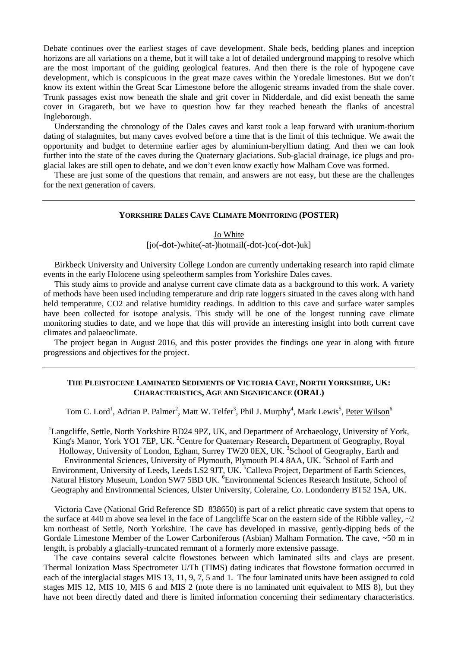Debate continues over the earliest stages of cave development. Shale beds, bedding planes and inception horizons are all variations on a theme, but it will take a lot of detailed underground mapping to resolve which are the most important of the guiding geological features. And then there is the role of hypogene cave development, which is conspicuous in the great maze caves within the Yoredale limestones. But we don't know its extent within the Great Scar Limestone before the allogenic streams invaded from the shale cover. Trunk passages exist now beneath the shale and grit cover in Nidderdale, and did exist beneath the same cover in Gragareth, but we have to question how far they reached beneath the flanks of ancestral Ingleborough.

Understanding the chronology of the Dales caves and karst took a leap forward with uranium-thorium dating of stalagmites, but many caves evolved before a time that is the limit of this technique. We await the opportunity and budget to determine earlier ages by aluminium-beryllium dating. And then we can look further into the state of the caves during the Quaternary glaciations. Sub-glacial drainage, ice plugs and proglacial lakes are still open to debate, and we don't even know exactly how Malham Cove was formed.

These are just some of the questions that remain, and answers are not easy, but these are the challenges for the next generation of cavers.

#### **YORKSHIRE DALES CAVE CLIMATE MONITORING (POSTER)**

#### Jo White

[jo(-dot-)white(-at-)hotmail(-dot-)co(-dot-)uk]

Birkbeck University and University College London are currently undertaking research into rapid climate events in the early Holocene using speleotherm samples from Yorkshire Dales caves.

This study aims to provide and analyse current cave climate data as a background to this work. A variety of methods have been used including temperature and drip rate loggers situated in the caves along with hand held temperature, CO2 and relative humidity readings. In addition to this cave and surface water samples have been collected for isotope analysis. This study will be one of the longest running cave climate monitoring studies to date, and we hope that this will provide an interesting insight into both current cave climates and palaeoclimate.

The project began in August 2016, and this poster provides the findings one year in along with future progressions and objectives for the project.

### **THE PLEISTOCENE LAMINATED SEDIMENTS OF VICTORIA CAVE, NORTH YORKSHIRE, UK: CHARACTERISTICS, AGE AND SIGNIFICANCE (ORAL)**

Tom C. Lord<sup>1</sup>, Adrian P. Palmer<sup>2</sup>, Matt W. Telfer<sup>3</sup>, Phil J. Murphy<sup>4</sup>, Mark Lewis<sup>5</sup>, <u>Peter Wilson</u><sup>6</sup>

<sup>1</sup>Langcliffe, Settle, North Yorkshire BD24 9PZ, UK, and Department of Archaeology, University of York, King's Manor, York YO1 7EP, UK. <sup>2</sup> Centre for Quaternary Research, Department of Geography, Royal Holloway, University of London, Egham, Surrey TW20 0EX, UK.<sup>3</sup>School of Geography, Earth and Environmental Sciences, University of Plymouth, Plymouth PL4 8AA, UK.<sup>4</sup>School of Earth and Environment, University of Leeds, Leeds LS2 9JT, UK. <sup>5</sup>Calleva Project, Department of Earth Sciences, Natural History Museum, London SW7 5BD UK. <sup>6</sup>Environmental Sciences Research Institute, School of Geography and Environmental Sciences, Ulster University, Coleraine, Co. Londonderry BT52 1SA, UK.

Victoria Cave (National Grid Reference SD 838650) is part of a relict phreatic cave system that opens to the surface at 440 m above sea level in the face of Langcliffe Scar on the eastern side of the Ribble valley,  $\sim$ 2 km northeast of Settle, North Yorkshire. The cave has developed in massive, gently-dipping beds of the Gordale Limestone Member of the Lower Carboniferous (Asbian) Malham Formation. The cave, ~50 m in length, is probably a glacially-truncated remnant of a formerly more extensive passage.

The cave contains several calcite flowstones between which laminated silts and clays are present. Thermal Ionization Mass Spectrometer U/Th (TIMS) dating indicates that flowstone formation occurred in each of the interglacial stages MIS 13, 11, 9, 7, 5 and 1. The four laminated units have been assigned to cold stages MIS 12, MIS 10, MIS 6 and MIS 2 (note there is no laminated unit equivalent to MIS 8), but they have not been directly dated and there is limited information concerning their sedimentary characteristics.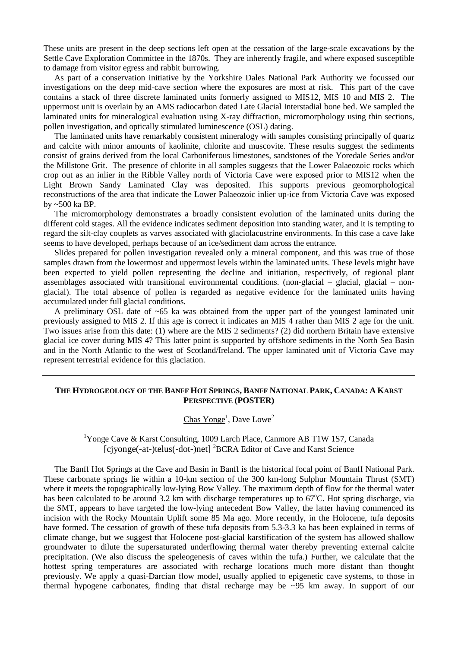These units are present in the deep sections left open at the cessation of the large-scale excavations by the Settle Cave Exploration Committee in the 1870s. They are inherently fragile, and where exposed susceptible to damage from visitor egress and rabbit burrowing.

As part of a conservation initiative by the Yorkshire Dales National Park Authority we focussed our investigations on the deep mid-cave section where the exposures are most at risk. This part of the cave contains a stack of three discrete laminated units formerly assigned to MIS12, MIS 10 and MIS 2. The uppermost unit is overlain by an AMS radiocarbon dated Late Glacial Interstadial bone bed. We sampled the laminated units for mineralogical evaluation using X-ray diffraction, micromorphology using thin sections, pollen investigation, and optically stimulated luminescence (OSL) dating.

The laminated units have remarkably consistent mineralogy with samples consisting principally of quartz and calcite with minor amounts of kaolinite, chlorite and muscovite. These results suggest the sediments consist of grains derived from the local Carboniferous limestones, sandstones of the Yoredale Series and/or the Millstone Grit. The presence of chlorite in all samples suggests that the Lower Palaeozoic rocks which crop out as an inlier in the Ribble Valley north of Victoria Cave were exposed prior to MIS12 when the Light Brown Sandy Laminated Clay was deposited. This supports previous geomorphological reconstructions of the area that indicate the Lower Palaeozoic inlier up-ice from Victoria Cave was exposed by ~500 ka BP.

The micromorphology demonstrates a broadly consistent evolution of the laminated units during the different cold stages. All the evidence indicates sediment deposition into standing water, and it is tempting to regard the silt-clay couplets as varves associated with glaciolacustrine environments. In this case a cave lake seems to have developed, perhaps because of an ice/sediment dam across the entrance.

Slides prepared for pollen investigation revealed only a mineral component, and this was true of those samples drawn from the lowermost and uppermost levels within the laminated units. These levels might have been expected to yield pollen representing the decline and initiation, respectively, of regional plant assemblages associated with transitional environmental conditions. (non-glacial – glacial, glacial – nonglacial). The total absence of pollen is regarded as negative evidence for the laminated units having accumulated under full glacial conditions.

A preliminary OSL date of  $\sim 65$  ka was obtained from the upper part of the youngest laminated unit previously assigned to MIS 2. If this age is correct it indicates an MIS 4 rather than MIS 2 age for the unit. Two issues arise from this date: (1) where are the MIS 2 sediments? (2) did northern Britain have extensive glacial ice cover during MIS 4? This latter point is supported by offshore sediments in the North Sea Basin and in the North Atlantic to the west of Scotland/Ireland. The upper laminated unit of Victoria Cave may represent terrestrial evidence for this glaciation.

#### **THE HYDROGEOLOGY OF THE BANFF HOT SPRINGS, BANFF NATIONAL PARK, CANADA: A KARST PERSPECTIVE (POSTER)**

 $\overline{\text{Chas Yonge}}^1$ , Dave Lowe<sup>2</sup>

<sup>1</sup>Yonge Cave & Karst Consulting, 1009 Larch Place, Canmore AB T1W 1S7, Canada [cjyonge(-at-)telus(-dot-)net]<sup>2</sup>BCRA Editor of Cave and Karst Science

The Banff Hot Springs at the Cave and Basin in Banff is the historical focal point of Banff National Park. These carbonate springs lie within a 10-km section of the 300 km-long Sulphur Mountain Thrust (SMT) where it meets the topographically low-lying Bow Valley. The maximum depth of flow for the thermal water has been calculated to be around 3.2 km with discharge temperatures up to 67°C. Hot spring discharge, via the SMT, appears to have targeted the low-lying antecedent Bow Valley, the latter having commenced its incision with the Rocky Mountain Uplift some 85 Ma ago. More recently, in the Holocene, tufa deposits have formed. The cessation of growth of these tufa deposits from 5.3-3.3 ka has been explained in terms of climate change, but we suggest that Holocene post-glacial karstification of the system has allowed shallow groundwater to dilute the supersaturated underflowing thermal water thereby preventing external calcite precipitation. (We also discuss the speleogenesis of caves within the tufa.) Further, we calculate that the hottest spring temperatures are associated with recharge locations much more distant than thought previously. We apply a quasi-Darcian flow model, usually applied to epigenetic cave systems, to those in thermal hypogene carbonates, finding that distal recharge may be ~95 km away. In support of our